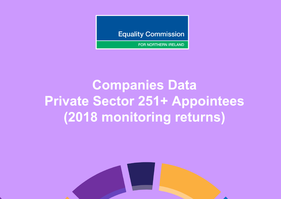**Equality Commission** 

**FOR NORTHERN IRELAND** 

## **Companies Data Private Sector 251+ Appointees (2018 monitoring returns)**

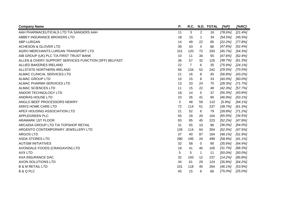| <b>Company Name</b>                                   | Ρ.  | R.C.           |          | N.D. TOTAL | [%P]       | [%RC]      |
|-------------------------------------------------------|-----|----------------|----------|------------|------------|------------|
| AAH PHARMACEUTICALS LTD T/A SANGERS AAH               | 11  | 3              | 2        | 16         | $[78.6\%]$ | [21.4%]    |
| ABBEY INSURANCE BROKERS LTD                           | 18  | 15             | 1        | 34         | $[54.5\%]$ | $[45.5\%]$ |
| <b>ABP LURGAN</b>                                     | 14  | 49             | 22       | 85         | [22.2%]    | [77.8%]    |
| <b>ACHESON &amp; GLOVER LTD</b>                       | 39  | 43             | 4        | 86         | [47.6%]    | [52.4%]    |
| AGRO MERCHANTS LURGAN TRANSPORT LTD                   | 101 | 120            | 72       | 293        | [45.7%]    | $[54.3\%]$ |
| AIB GROUP (UK) PLC T/A FIRST TRUST BANK               | 10  | 11             | 34       | 55         | [47.6%]    | [52.4%]    |
| ALLEN & OVERY SUPPORT SERVICES FUNCTION (SFF) BELFAST | 36  | 57             | 32       | 125        | [38.7%]    | [61.3%]    |
| <b>ALLIED BAKERIES IRELAND</b>                        | 22  | $\overline{7}$ | 6        | 35         | $[75.9\%]$ | $[24.1\%]$ |
| ALLSTATE NORTHERN IRELAND                             | 56  | 134            | 52       | 242        | [29.5%]    | $[70.5\%]$ |
| ALMAC CLINICAL SERVICES LTD                           | 21  | 16             | 8        | 45         | [56.8%]    | [43.2%]    |
| <b>ALMAC GROUP LTD</b>                                | 10  | 15             | 8        | 33         | $[40.0\%]$ | $[60.0\%]$ |
| ALMAC PHARMA SERVICES LTD                             | 13  | 33             | 24       | 70         | $[28.3\%]$ | [71.7%]    |
| ALMAC SCIENCES LTD                                    | 11  | 15             | 22       | 48         | [42.3%]    | [57.7%]    |
| ANDOR TECHNOLOGY LTD                                  | 18  | 14             | 5        | 37         | [56.3%]    | [43.8%]    |
| ANDRAS HOUSE LTD                                      | 23  | 26             | 41       | 90         | [46.9%]    | $[53.1\%]$ |
| ANGLO BEEF PROCESSORS NEWRY                           | 3   | 48             | 59       | 110        | [5.9%]     | $[94.1\%]$ |
| ANN'S HOME CARE LTD                                   | 72  | 114            | 51       | 237        | [38.7%]    | [61.3%]    |
| APEX HOUSING ASSOCIATION LTD                          | 21  | 52             | 6        | 79         | [28.8%]    | [71.2%]    |
| APPLEGREEN PLC                                        | 55  | 29             | 20       | 104        | [65.5%]    | [34.5%]    |
| <b>ARAMARK 1ST FLOOR</b>                              | 93  | 85             | 45       | 223        | [52.2%]    | [47.8%]    |
| ARCADIA GROUP LTD T/A TOPSHOP RETAIL                  | 31  | 55             | 10       | 96         | $[36.0\%]$ | $[64.0\%]$ |
| ARGENTO CONTEMPORARY JEWELLERY LTD                    | 126 | 114            | 64       | 304        | [52.5%]    | [47.5%]    |
| <b>ARGOS LTD</b>                                      | 37  | 40             | 87       | 164        | $[48.1\%]$ | [51.9%]    |
| <b>ASDA STORES LTD</b>                                | 280 | 195            | 24       | 499        | [58.9%]    | [41.1%]    |
| <b>AUTISM INITIATIVES</b>                             | 32  | 58             | $\Omega$ | 90         | [35.6%]    | [64.4%]    |
| AVONDALE FOODS (CRAIGAVON) LTD                        | 19  | 41             | 45       | 105        | [31.7%]    | $[68.3\%]$ |
| <b>AVX LTD</b>                                        | 5   | 5              | 1        | 11         | $[50.0\%]$ | $[50.0\%]$ |
| AXA INSURANCE DAC                                     | 32  | 193            | 12       | 237        | [14.2%]    | [85.8%]    |
| AXON SOLUTIONS LTD                                    | 34  | 61             | 29       | 124        | [35.8%]    | [64.2%]    |
| <b>B &amp; M RETAIL LTD</b>                           | 101 | 118            | 45       | 264        | $[46.1\%]$ | [53.9%]    |
| <b>B &amp; Q PLC</b>                                  | 45  | 15             | 6        | 66         | $[75.0\%]$ | $[25.0\%]$ |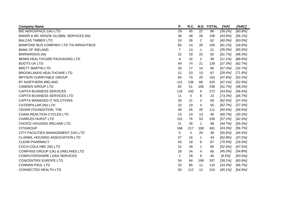| <b>Company Name</b>                    | Ρ.             | R.C.           |                | N.D. TOTAL | [%P]       | [%RC]      |
|----------------------------------------|----------------|----------------|----------------|------------|------------|------------|
| B/E AEROSPACE (UK) LTD                 | 29             | 45             | 22             | 96         | [39.2%]    | [60.8%]    |
| BAKER & MC KENZIE GLOBAL SERVICES (NI) | 36             | 46             | 26             | 108        | [43.9%]    | $[56.1\%]$ |
| <b>BALCAS TIMBER LTD</b>               | 24             | 36             | $\overline{c}$ | 62         | $[40.0\%]$ | $[60.0\%]$ |
| BAMFORD BUS COMPANY LTD T/A WRIGHTBUS  | 60             | 14             | 26             | 100        | $[81.1\%]$ | [18.9%]    |
| <b>BANK OF IRELAND</b>                 | $\overline{7}$ | 13             | $\mathbf 1$    | 21         | $[35.0\%]$ | $[65.0\%]$ |
| <b>BARNARDOS (NI)</b>                  | 31             | 29             | 22             | 82         | [51.7%]    | $[48.3\%]$ |
| BEMIS HEALTHCARE PACKAGING LTD         | 4              | 32             | 2              | 38         | [11.1%]    | $[88.9\%]$ |
| <b>BOOTS UK LTD</b>                    | 44             | 74             | 21             | 139        | [37.3%]    | [62.7%]    |
| <b>BRETT MARTIN LTD</b>                | 35             | 17             | 14             | 66         | [67.3%]    | [32.7%]    |
| <b>BROOKLANDS HEALTHCARE LTD</b>       | 21             | 53             | 13             | 87         | [28.4%]    | $[71.6\%]$ |
| BRYSON CHARITABLE GROUP                | 64             | 70             | 20             | 154        | [47.8%]    | [52.2%]    |
| <b>BT NORTHERN IRELAND</b>             | 121            | 136            | 68             | 325        | [47.1%]    | [52.9%]    |
| <b>CAMDEN GROUP LTD</b>                | 82             | 51             | 106            | 239        | [61.7%]    | [38.3%]    |
| <b>CAPITA BUSINESS SERVICES</b>        | 116            | 150            | 6              | 272        | $[43.6\%]$ | [56.4%]    |
| CAPITA BUSINESS SERVICES LTD           | 11             | 4              | 8              | 23         | [73.3%]    | [26.7%]    |
| CAPITA MANAGED IT SOLUTIONS            | 35             | 21             | 2              | 58         | [62.5%]    | [37.5%]    |
| <b>CATERPILLAR (NI) LTD</b>            | 32             | 19             | 4              | 55         | [62.7%]    | $[37.3\%]$ |
| CEDAR FOUNDATION, THE                  | 46             | 45             | 20             | 111        | [50.5%]    | [49.5%]    |
| CHAIN REACTION CYCLES LTD              | 23             | 10             | 13             | 46         | [69.7%]    | [30.3%]    |
| <b>CHARLES HURST LTD</b>               | 101            | 76             | 53             | 230        | $[57.1\%]$ | [42.9%]    |
| CHOICE HOUSING IRELAND LTD             | 21             | 26             | $\mathbf 1$    | 48         | [44.7%]    | [55.3%]    |
| <b>CITIGROUP</b>                       | 166            | 217            | 108            | 491        | [43.3%]    | [56.7%]    |
| CITY FACILITIES MANAGEMENT (UK) LTD    | 5              | $\overline{4}$ | 29             | 38         | $[55.6\%]$ | [44.4%]    |
| <b>CLANMIL HOUSING ASSOCIATION LTD</b> | 27             | 16             | $\mathbf 1$    | 44         | [62.8%]    | [37.2%]    |
| <b>CLEAR PHARMACY</b>                  | 43             | 18             | 6              | 67         | $[70.5\%]$ | [29.5%]    |
| COCA-COLA HBC (NI) LTD                 | 31             | 28             | 1              | 60         | [52.5%]    | [47.5%]    |
| COMPASS GROUP (UK) & (IRELAND) LTD     | 28             | 34             | 4              | 66         | [45.2%]    | [54.8%]    |
| <b>COMPUTERSHARE LOAN SERVICES</b>     | $\overline{2}$ | 29             | 9              | 40         | $[6.5\%]$  | [93.5%]    |
| <b>CONCENTRIX EUROPE LTD</b>           | 54             | 84             | 199            | 337        | $[39.1\%]$ | $[60.9\%]$ |
| <b>CONNAN PAUL LTD</b>                 | 33             | 66             | 11             | 110        | [33.3%]    | [66.7%]    |
| <b>CONNECTED HEALTH LTD</b>            | 92             | 112            | 12             | 216        | $[45.1\%]$ | [54.9%]    |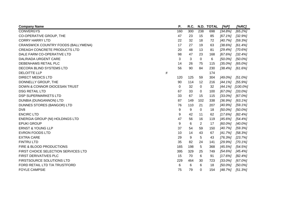| <b>Company Name</b>                     |   | Ρ.  | R.C. |                | N.D. TOTAL | [%P]       | [%RC]       |
|-----------------------------------------|---|-----|------|----------------|------------|------------|-------------|
| <b>CONVERGYS</b>                        |   | 160 | 300  | 238            | 698        | [34.8%]    | [65.2%]     |
| CO-OPERATIVE GROUP, THE                 |   | 47  | 23   | 15             | 85         | [67.1%]    | [32.9%]     |
| <b>CORRY HARRY LTD</b>                  |   | 22  | 32   | 18             | 72         | [40.7%]    | [59.3%]     |
| CRANSWICK COUNTRY FOODS (BALLYMENA)     |   | 17  | 27   | 19             | 63         | $[38.6\%]$ | [61.4%]     |
| <b>CREAGH CONCRETE PRODUCTS LTD</b>     |   | 20  | 48   | 13             | 81         | [29.4%]    | $[70.6\%]$  |
| DALE FARM CO-OPERATIVE LTD              |   | 98  | 47   | 23             | 168        | [67.6%]    | [32.4%]     |
| <b>DALRIADA URGENT CARE</b>             |   | 3   | 3    | $\mathbf 0$    | 6          | $[50.0\%]$ | $[50.0\%]$  |
| DEBENHAMS RETAIL PLC                    |   | 14  | 26   | 75             | 115        | $[35.0\%]$ | $[65.0\%]$  |
| DECORA BLIND SYSTEMS LTD                |   | 56  | 90   | 84             | 230        | [38.4%]    | [61.6%]     |
| <b>DELOITTE LLP</b>                     | # |     |      |                | 174        |            |             |
| <b>DIRECT MEDICS LTD</b>                |   | 120 | 125  | 59             | 304        | $[49.0\%]$ | $[51.0\%]$  |
| DONNELLY GROUP, THE                     |   | 90  | 114  | 12             | 216        | $[44.1\%]$ | [55.9%]     |
| <b>DOWN &amp; CONNOR DIOCESAN TRUST</b> |   | 0   | 32   | $\mathbf 0$    | 32         | $[44.1\%]$ | $[100.0\%]$ |
| <b>DSG RETAIL LTD</b>                   |   | 67  | 33   | 0              | 100        | $[67.0\%]$ | $[33.0\%]$  |
| <b>DSP SUPERMARKETS LTD</b>             |   | 33  | 67   | 15             | 115        | $[33.0\%]$ | $[67.0\%]$  |
| DUNBIA (DUNGANNON) LTD                  |   | 87  | 149  | 102            | 338        | [36.9%]    | $[63.1\%]$  |
| DUNNES STORES (BANGOR) LTD              |   | 76  | 110  | 21             | 207        | [40.9%]    | $[59.1\%]$  |
| DV8                                     |   | 9   | 9    | 0              | 18         | $[50.0\%]$ | $[50.0\%]$  |
| <b>ENCIRC LTD</b>                       |   | 9   | 42   | 11             | 62         | $[17.6\%]$ | [82.4%]     |
| ENERGIA GROUP (NI) HOLDINGS LTD         |   | 47  | 56   | 16             | 119        | $[45.6\%]$ | $[54.4\%]$  |
| <b>EPUKI GROUP</b>                      |   | 9   | 6    | $\overline{2}$ | 17         | $[60.0\%]$ | $[40.0\%]$  |
| <b>ERNST &amp; YOUNG LLP</b>            |   | 37  | 54   | 59             | 150        | [40.7%]    | $[59.3\%]$  |
| <b>EVRON FOODS LTD</b>                  |   | 10  | 14   | 43             | 67         | [41.7%]    | $[58.3\%]$  |
| <b>EXTRA CARE</b>                       |   | 29  | 9    | 5              | 43         | $[76.3\%]$ | [23.7%]     |
| <b>FINTRU LTD</b>                       |   | 35  | 82   | 24             | 141        | [29.9%]    | $[70.1\%]$  |
| FIRE & BLOOD PRODUCTIONS                |   | 165 | 198  | 5              | 368        | $[45.5\%]$ | $[54.5\%]$  |
| FIRST CHOICE SELECTION SERVICES LTD     |   | 395 | 329  | 25             | 749        | $[54.6\%]$ | [45.4%]     |
| FIRST DERIVATIVES PLC                   |   | 15  | 70   | 6              | 91         | $[17.6\%]$ | [82.4%]     |
| FIRSTSOURCE SOLUTIONS LTD               |   | 229 | 464  | 30             | 723        | $[33.0\%]$ | $[67.0\%]$  |
| FORD RETAIL LTD T/A TRUSTFORD           |   | 6   | 6    | 6              | 18         | $[50.0\%]$ | $[50.0\%]$  |
| <b>FOYLE CAMPSIE</b>                    |   | 75  | 79   | 0              | 154        | [48.7%]    | [51.3%]     |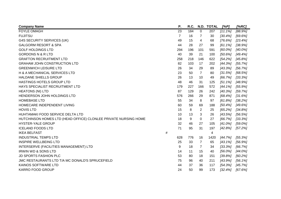| <b>Company Name</b>                                             |   | Ρ.             | R.C. |                | N.D. TOTAL | [%P]       | [%RC]      |
|-----------------------------------------------------------------|---|----------------|------|----------------|------------|------------|------------|
| <b>FOYLE OMAGH</b>                                              |   | 23             | 184  | $\mathbf 0$    | 207        | [11.1%]    | $[88.9\%]$ |
| <b>FUJITSU</b>                                                  |   | $\overline{7}$ | 16   | 7              | 30         | [30.4%]    | $[69.6\%]$ |
| <b>G4S SECURITY SERVICES (UK)</b>                               |   | 49             | 15   | 4              | 68         | $[76.6\%]$ | [23.4%]    |
| <b>GALGORM RESORT &amp; SPA</b>                                 |   | 44             | 28   | 27             | 99         | [61.1%]    | [38.9%]    |
| <b>GOLF HOLDINGS LTD</b>                                        |   | 294            | 196  | 101            | 591        | $[60.0\%]$ | $[40.0\%]$ |
| <b>GORDONS N &amp; R LTD</b>                                    |   | 40             | 39   | 21             | 100        | [50.6%]    | $[49.4\%]$ |
| <b>GRAFTON RECRUITMENT LTD</b>                                  |   | 258            | 218  | 146            | 622        | $[54.2\%]$ | [45.8%]    |
| <b>GRAHAM JOHN CONSTRUCTION LTD</b>                             |   | 82             | 103  | 17             | 202        | $[44.3\%]$ | $[55.7\%]$ |
| <b>GREENWICH LEISURE LTD</b>                                    |   | 26             | 34   | 29             | 89         | $[43.3\%]$ | [56.7%]    |
| H & A MECHANICAL SERVICES LTD                                   |   | 23             | 50   | $\overline{7}$ | 80         | [31.5%]    | $[68.5\%]$ |
| <b>HALDANE SHIELLS GROUP</b>                                    |   | 26             | 13   | 10             | 49         | [66.7%]    | [33.3%]    |
| HASTINGS HOTELS GROUP LTD                                       |   | 48             | 46   | 31             | 125        | $[51.1\%]$ | [48.9%]    |
| HAYS SPECIALIST RECRUITMENT LTD                                 |   | 179            | 227  | 166            | 572        | $[44.1\%]$ | $[55.9\%]$ |
| <b>HEATONS (NI) LTD</b>                                         |   | 87             | 129  | 26             | 242        | [40.3%]    | [59.7%]    |
| HENDERSON JOHN HOLDINGS LTD                                     |   | 576            | 266  | 29             | 871        | [68.4%]    | [31.6%]    |
| <b>HOMEBASE LTD</b>                                             |   | 55             | 34   | 8              | 97         | [61.8%]    | [38.2%]    |
| HOMECARE INDEPENDENT LIVING                                     |   | 60             | 59   | 69             | 188        | [50.4%]    | $[49.6\%]$ |
| <b>HOVIS LTD</b>                                                |   | 15             | 8    | $\overline{2}$ | 25         | [65.2%]    | $[34.8\%]$ |
| HUHTAMAKI FOOD SERVICE DELTA LTD                                |   | 10             | 13   | 3              | 26         | $[43.5\%]$ | $[56.5\%]$ |
| HUTCHINSON HOMES LTD (HEAD OFFICE) CLONLEE PRIVATE NURSING HOME |   | 18             | 9    | $\mathbf 0$    | 27         | [66.7%]    | [33.3%]    |
| <b>HYSTER-YALE GROUP</b>                                        |   | 32             | 46   | 27             | 105        | $[41.0\%]$ | $[59.0\%]$ |
| <b>ICELAND FOODS LTD</b>                                        |   | 71             | 95   | 31             | 197        | [42.8%]    | [57.2%]    |
| <b>IKEA BELFAST</b>                                             | # |                |      |                | 4          |            |            |
| <b>INDUSTRIAL TEMPS LTD</b>                                     |   | 628            | 776  | 16             | 1420       | [44.7%]    | $[55.3\%]$ |
| <b>INSPIRE WELLBEING LTD</b>                                    |   | 25             | 33   | $\overline{7}$ | 65         | $[43.1\%]$ | [56.9%]    |
| INTERSERVE (FACILITIES MANAGEMENT) LTD                          |   | 9              | 18   | $\overline{7}$ | 34         | [33.3%]    | [66.7%]    |
| <b>IRWIN WD &amp; SONS LTD</b>                                  |   | 14             | 11   | 15             | 40         | $[56.0\%]$ | $[44.0\%]$ |
| <b>JD SPORTS FASHION PLC</b>                                    |   | 53             | 80   | 18             | 151        | [39.8%]    | [60.2%]    |
| JMC RESTAURANTS LTD T/A MC DONALD'S SPRUCEFIELD                 |   | 75             | 96   | 40             | 211        | [43.9%]    | $[56.1\%]$ |
| <b>KAINOS SOFTWARE LTD</b>                                      |   | 44             | 37   | 36             | 117        | $[54.3\%]$ | $[45.7\%]$ |
| <b>KARRO FOOD GROUP</b>                                         |   | 24             | 50   | 99             | 173        | [32.4%]    | $[67.6\%]$ |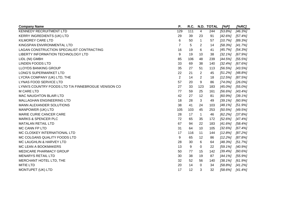| <b>Company Name</b>                                 | Ρ.             | R.C. |             | N.D. TOTAL | [%P]       | [%RC]      |
|-----------------------------------------------------|----------------|------|-------------|------------|------------|------------|
| <b>KENNEDY RECRUITMENT LTD</b>                      | 129            | 111  | 4           | 244        | [53.8%]    | $[46.3\%]$ |
| <b>KERRY INGREDIENTS (UK) LTD</b>                   | 29             | 39   | 23          | 91         | $[42.6\%]$ | [57.4%]    |
| <b>KILMOREY CARE LTD</b>                            | 6              | 50   | 1           | 57         | [10.7%]    | $[89.3\%]$ |
| KINGSPAN ENVIRONMENTAL LTD                          | $\overline{7}$ | 5    | 2           | 14         | [58.3%]    | [41.7%]    |
| LAGAN CONSTRUCTION SPECIALIST CONTRACTING           | 16             | 19   | 6           | 41         | [45.7%]    | $[54.3\%]$ |
| LIBERTY INFORMATION TECHNOLOGY LTD                  | 9              | 19   | 10          | 38         | [32.1%]    | [67.9%]    |
| LIDL (NI) GMBH                                      | 85             | 106  | 48          | 239        | [44.5%]    | [55.5%]    |
| <b>LINDEN FOODS LTD</b>                             | 33             | 69   | 38          | 140        | [32.4%]    | [67.6%]    |
| <b>LLOYDS BANKING GROUP</b>                         | 35             | 27   | 51          | 113        | $[56.5\%]$ | [43.5%]    |
| <b>LONG'S SUPERMARKET LTD</b>                       | 22             | 21   | 2           | 45         | [51.2%]    | [48.8%]    |
| LYCRA COMPANY (UK) LTD, THE                         | $\overline{2}$ | 14   | 2           | 18         | $[12.5\%]$ | $[87.5\%]$ |
| <b>LYNAS FOOD SERVICE LTD</b>                       | 57             | 20   | 9           | 86         | $[74.0\%]$ | $[26.0\%]$ |
| LYNN'S COUNTRY FOODS LTD T/A FINNEBROGUE VENISON CO | 27             | 33   | 123         | 183        | $[45.0\%]$ | $[55.0\%]$ |
| <b>M CARE LTD</b>                                   | 77             | 59   | 25          | 161        | $[56.6\%]$ | [43.4%]    |
| <b>MAC NAUGHTON BLAIR LTD</b>                       | 42             | 27   | 12          | 81         | [60.9%]    | $[39.1\%]$ |
| MALLAGHAN ENGINEERING LTD                           | 18             | 28   | 3           | 49         | $[39.1\%]$ | [60.9%]    |
| MANN ALEXANDER SOLUTIONS                            | 38             | 41   | 24          | 103        | $[48.1\%]$ | $[51.9\%]$ |
| MANPOWER (UK) LTD                                   | 105            | 103  | 45          | 253        | [50.5%]    | [49.5%]    |
| MARIE CURIE CANCER CARE                             | 28             | 17   | $\mathbf 1$ | 46         | [62.2%]    | [37.8%]    |
| <b>MARKS &amp; SPENCER PLC</b>                      | 72             | 65   | 35          | 172        | [52.6%]    | [47.4%]    |
| <b>MATALAN RETAIL LTD</b>                           | 67             | 94   | 22          | 183        | [41.6%]    | [58.4%]    |
| MC CANN FP LTD                                      | 31             | 64   | 10          | 105        | [32.6%]    | [67.4%]    |
| MC CLOSKEY INTERNATIONAL LTD                        | 17             | 116  | 11          | 144        | [12.8%]    | $[87.2\%]$ |
| MC COLGANS QUALITY FOODS LTD                        | 9              | 65   | 12          | 86         | [12.2%]    | [87.8%]    |
| MC LAUGHLIN & HARVEY LTD                            | 28             | 30   | 6           | 64         | [48.3%]    | $[51.7\%]$ |
| MC LEAN A BOOKMAKERS                                | 13             | 9    | 0           | 22         | $[59.1\%]$ | [40.9%]    |
| MEDICARE PHARMACY GROUP                             | 50             | 77   | 15          | 142        | [39.4%]    | [60.6%]    |
| <b>MENARYS RETAIL LTD</b>                           | 30             | 38   | 19          | 87         | $[44.1\%]$ | [55.9%]    |
| MERCHANT HOTEL LTD, THE                             | 32             | 52   | 56          | 140        | $[38.1\%]$ | [61.9%]    |
| <b>MITIE LTD</b>                                    | 20             | 14   | $\Omega$    | 34         | [58.8%]    | [41.2%]    |
| MONTUPET (UK) LTD                                   | 17             | 12   | 3           | 32         | $[58.6\%]$ | [41.4%]    |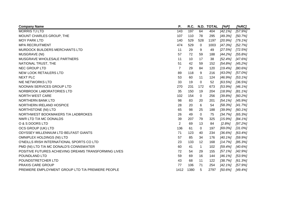| <b>Company Name</b>                                  | Ρ.             | R.C. |                | N.D. TOTAL | [%P]       | [%RC]      |
|------------------------------------------------------|----------------|------|----------------|------------|------------|------------|
| <b>MORRIS TJ LTD</b>                                 | 143            | 197  | 64             | 404        | [42.1%]    | [57.9%]    |
| MOUNT CHARLES GROUP, THE                             | 107            | 110  | 78             | 295        | [49.3%]    | [50.7%]    |
| <b>MOY PARK LTD</b>                                  | 140            | 529  | 528            | 1197       | [20.9%]    | $[79.1\%]$ |
| <b>MPA RECRUITMENT</b>                               | 474            | 529  | 0              | 1003       | [47.3%]    | [52.7%]    |
| MURDOCK BUILDERS MERCHANTS LTD                       | 11             | 29   | 9              | 49         | [27.5%]    | $[72.5\%]$ |
| <b>MUSGRAVE (NI)</b>                                 | 57             | 72   | 59             | 188        | [44.2%]    | [55.8%]    |
| MUSGRAVE WHOLESALE PARTNERS                          | 11             | 10   | 17             | 38         | [52.4%]    | $[47.6\%]$ |
| NATIONAL TRUST, THE                                  | 51             | 42   | 59             | 152        | $[54.8\%]$ | [45.2%]    |
| NEC GROUP LTD                                        | $\overline{7}$ | 29   | 84             | 120        | [19.4%]    | $[80.6\%]$ |
| <b>NEW LOOK RETAILERS LTD</b>                        | 89             | 118  | 9              | 216        | $[43.0\%]$ | $[57.0\%]$ |
| <b>NEXT PLC</b>                                      | 53             | 60   | 11             | 124        | [46.9%]    | $[53.1\%]$ |
| <b>NIE NETWORKS LTD</b>                              | 33             | 19   | $\mathbf 0$    | 52         | [63.5%]    | $[36.5\%]$ |
| NOONAN SERVICES GROUP LTD                            | 270            | 231  | 172            | 673        | $[53.9\%]$ | $[46.1\%]$ |
| NORBROOK LABORATORIES LTD                            | 35             | 150  | 19             | 204        | [18.9%]    | $[81.1\%]$ |
| <b>NORTH WEST CARE</b>                               | 102            | 154  | $\overline{0}$ | 256        | [39.8%]    | [60.2%]    |
| <b>NORTHERN BANK LTD</b>                             | 98             | 83   | 20             | 201        | $[54.1\%]$ | [45.9%]    |
| NORTHERN IRELAND HOSPICE                             | 28             | 20   | 6              | 54         | $[58.3\%]$ | [41.7%]    |
| <b>NORTHSTONE (NI) LTD</b>                           | 65             | 98   | 25             | 188        | [39.9%]    | $[60.1\%]$ |
| NORTHWEST BOOKMAKERS T/A LADBROKES                   | 26             | 49   | 0              | 75         | [34.7%]    | $[65.3\%]$ |
| NWR LTD T/A MC DONALDS                               | 39             | 207  | 79             | 325        | $[15.9\%]$ | $[84.1\%]$ |
| O & S DOORS LTD                                      | $\overline{2}$ | 69   | 13             | 84         | [2.8%]     | [97.2%]    |
| OCS GROUP (UK) LTD                                   | 136            | 61   | 0              | 197        | $[69.0\%]$ | $[31.0\%]$ |
| ODYSSEY MILLENNIUM LTD BELFAST GIANTS                | 71             | 123  | 40             | 234        | $[36.6\%]$ | $[63.4\%]$ |
| <b>OMNIPLEX HOLDINGS (NI) LTD</b>                    | 57             | 85   | 34             | 176        | [40.1%]    | [59.9%]    |
| O'NEILLS IRISH INTERNATIONAL SPORTS CO LTD           | 23             | 133  | 12             | 168        | [14.7%]    | $[85.3\%]$ |
| PMD (NI) LTD T/A MC DONALD'S CONNSWATER              | 60             | 41   | $\mathbf 1$    | 102        | [59.4%]    | $[40.6\%]$ |
| POSITIVE FUTURES ACHIEVING DREAMS TRANSFORMING LIVES | 72             | 54   | 29             | 155        | $[57.1\%]$ | [42.9%]    |
| POUNDLAND LTD                                        | 59             | 69   | 16             | 144        | $[46.1\%]$ | $[53.9\%]$ |
| POUNDSTRETCHER LTD                                   | 43             | 68   | 11             | 122        | [38.7%]    | [61.3%]    |
| <b>PRAXIS CARE GROUP</b>                             | 77             | 106  | 71             | 254        | [42.1%]    | [57.9%]    |
| PREMIERE EMPLOYMENT GROUP LTD T/A PREMIERE PEOPLE    | 1412           | 1380 | 5              | 2797       | $[50.6\%]$ | [49.4%]    |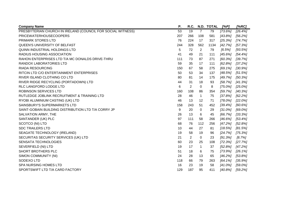| <b>Company Name</b>                                         | Ρ.  | R.C. |                | N.D. TOTAL | [%P]       | [%RC]      |
|-------------------------------------------------------------|-----|------|----------------|------------|------------|------------|
| PRESBYTERIAN CHURCH IN IRELAND (COUNCIL FOR SOCIAL WITNESS) | 53  | 19   | $\overline{7}$ | 79         | $[73.6\%]$ | [26.4%]    |
| <b>PRICEWATERHOUSECOOPERS</b>                               | 207 | 266  | 108            | 581        | [43.8%]    | [56.2%]    |
| PRIMARK STORES LTD                                          | 76  | 224  | 17             | 317        | [25.3%]    | [74.7%]    |
| QUEEN'S UNIVERSITY OF BELFAST                               | 244 | 328  | 562            | 1134       | [42.7%]    | [57.3%]    |
| QUINN INDUSTRIAL HOLDINGS LTD                               | 5   | 72   | 2              | 79         | $[6.5\%]$  | [93.5%]    |
| <b>RADIUS HOUSING ASSOCIATION</b>                           | 41  | 49   | 21             | 111        | $[45.6\%]$ | $[54.4\%]$ |
| RAHON ENTERPRISES LTD T/A MC DONALDS DRIVE-THRU             | 111 | 73   | 87             | 271        | [60.3%]    | [39.7%]    |
| RANDOX LABORATORIES LTD                                     | 59  | 35   | 17             | 111        | [62.8%]    | [37.2%]    |
| <b>RIADA RESOURCING</b>                                     | 150 | 67   | 58             | 275        | $[69.1\%]$ | [30.9%]    |
| RITCIN LTD C/O ENTERTAINMENT ENTERPRISES                    | 50  | 53   | 34             | 137        | $[48.5\%]$ | [51.5%]    |
| RIVER ISLAND CLOTHING CO LTD                                | 80  | 81   | 14             | 175        | [49.7%]    | [50.3%]    |
| RIVER RIDGE RECYCLING (PORTADOWN) LTD                       | 44  | 31   | 18             | 93         | [58.7%]    | [41.3%]    |
| RLC LANGFORD LODGE LTD                                      | 6   | 2    | 0              | 8          | $[75.0\%]$ | $[25.0\%]$ |
| <b>ROBINSON SERVICES LTD</b>                                | 160 | 108  | 86             | 354        | [59.7%]    | $[40.3\%]$ |
| RUTLEDGE JOBLINK RECRUITMENT & TRAINING LTD                 | 28  | 46   | 1              | 75         | [37.8%]    | [62.2%]    |
| RYOBI ALUMINIUM CASTING (UK) LTD                            | 46  | 13   | 12             | 71         | $[78.0\%]$ | $[22.0\%]$ |
| SAINSBURY'S SUPERMARKETS LTD                                | 158 | 243  | 51             | 452        | [39.4%]    | [60.6%]    |
| SAINT-GOBAIN BUILDING DISTRIBUTION LTD T/A CORRY JP         | 9   | 20   | $\Omega$       | 29         | $[31.0\%]$ | $[69.0\%]$ |
| SALVATION ARMY, THE                                         | 26  | 13   | 6              | 45         | [66.7%]    | [33.3%]    |
| SANTANDER (UK) PLC                                          | 97  | 111  | 58             | 266        | $[46.6\%]$ | [53.4%]    |
| SCOTCO (NI) LTD                                             | 68  | 76   | 112            | 256        | [47.2%]    | [52.8%]    |
| <b>SDC TRAILERS LTD</b>                                     | 10  | 44   | 27             | 81         | $[18.5\%]$ | [81.5%]    |
| SEAGATE TECHNOLOGY (IRELAND)                                | 19  | 58   | 19             | 96         | [24.7%]    | $[75.3\%]$ |
| SECURITAS SECURITY SERVICES (UK) LTD                        | 21  | 2    | 0              | 23         | [91.3%]    | [8.7%]     |
| <b>SENSATA TECHNOLOGIES</b>                                 | 60  | 23   | 25             | 108        | $[72.3\%]$ | [27.7%]    |
| SEVERFIELD (NI) LTD                                         | 19  | 17   | 1              | 37         | [52.8%]    | [47.2%]    |
| SHORT BROTHERS PLC                                          | 51  | 18   | 6              | 75         | [73.9%]    | $[26.1\%]$ |
| SIMON COMMUNITY (NI)                                        | 24  | 28   | 13             | 65         | [46.2%]    | [53.8%]    |
| SODEXO LTD                                                  | 118 | 66   | 79             | 263        | $[64.1\%]$ | [35.9%]    |
| <b>SPA NURSING HOMES LTD</b>                                | 16  | 23   | 19             | 58         | $[41.0\%]$ | $[59.0\%]$ |
| SPORTSWIFT LTD T/A CARD FACTORY                             | 129 | 187  | 95             | 411        | [40.8%]    | [59.2%]    |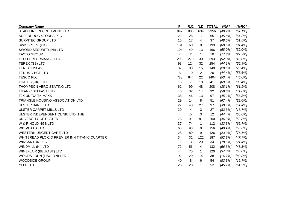| <b>Company Name</b>                           | Ρ.             | R.C. |                | N.D. TOTAL | [%P]       | [%RC]      |
|-----------------------------------------------|----------------|------|----------------|------------|------------|------------|
| STAFFLINE RECRUITMENT LTD                     | 842            | 880  | 634            | 2356       | [48.9%]    | $[51.1\%]$ |
| SUPERDRUG STORES PLC                          | 22             | 26   | 17             | 65         | $[45.8\%]$ | $[54.2\%]$ |
| SURVITEC GROUP LTD                            | 16             | 17   | 4              | 37         | [48.5%]    | [51.5%]    |
| SWISSPORT (UK)                                | 131            | 60   | 8              | 199        | [68.6%]    | [31.4%]    |
| SWORD SECURITY (NI) LTD                       | 104            | 49   | 13             | 166        | $[68.0\%]$ | $[32.0\%]$ |
| <b>TAYTO GROUP</b>                            | $\overline{7}$ | 2    | $\mathbf 1$    | 10         | [77.8%]    | [22.2%]    |
| <b>TELEPERFORMANCE LTD</b>                    | 293            | 270  | 30             | 593        | $[52.0\%]$ | $[48.0\%]$ |
| TEREX (GB) LTD                                | 98             | 124  | 32             | 254        | $[44.1\%]$ | [55.9%]    |
| <b>TEREX FINLAY</b>                           | 37             | 88   | 15             | 140        | [29.6%]    | [70.4%]    |
| <b>TERUMO BCT LTD</b>                         | 8              | 10   | $\overline{2}$ | 20         | [44.4%]    | $[55.6\%]$ |
| <b>TESCO PLC</b>                              | 738            | 644  | 22             | 1404       | [53.4%]    | $[46.6\%]$ |
| THALES (UK) LTD                               | 16             | 7    | 18             | 41         | $[69.6\%]$ | [30.4%]    |
| THOMPSON AERO SEATING LTD                     | 61             | 99   | 48             | 208        | [38.1%]    | [61.9%]    |
| <b>TITANIC BELFAST LTD</b>                    | 46             | 32   | 14             | 92         | $[59.0\%]$ | $[41.0\%]$ |
| TJX UK T/A TK MAXX                            | 38             | 46   | 13             | 97         | [45.2%]    | [54.8%]    |
| <b>TRIANGLE HOUSING ASSOCIATION LTD</b>       | 29             | 14   | 8              | 51         | [67.4%]    | [32.6%]    |
| <b>ULSTER BANK LTD</b>                        | 27             | 43   | 27             | 97         | $[38.6\%]$ | [61.4%]    |
| <b>ULSTER CARPET MILLS LTD</b>                | 20             | 4    | 3              | 27         | [83.3%]    | [16.7%]    |
| ULSTER INDEPENDENT CLINIC LTD, THE            | 4              | 5    | 3              | 12         | [44.4%]    | $[55.6\%]$ |
| UNIVERSITY OF ULSTER                          | 78             | 91   | 91             | 260        | [46.2%]    | [53.8%]    |
| W & R HOLDINGS LTD                            | 37             | 74   | 1              | 112        | [33.3%]    | [66.7%]    |
| <b>WD MEATS LTD</b>                           | 63             | 93   | 0              | 156        | [40.4%]    | [59.6%]    |
| <b>WESTERN URGENT CARE LTD</b>                | 28             | 89   | 9              | 126        | [23.9%]    | $[76.1\%]$ |
| WHITBREAD PLC C/O PREMIER INN TITANIC QUARTER | 34             | 31   | 122            | 187        | [52.3%]    | [47.7%]    |
| <b>WINCANTON PLC</b>                          | 11             | 3    | 20             | 34         | $[78.6\%]$ | [21.4%]    |
| <b>WINDMILL (NI) LTD</b>                      | 72             | 56   | 4              | 132        | [56.3%]    | [43.8%]    |
| WINEFLAIR (BELFAST) LTD                       | 44             | 75   | $\mathbf 1$    | 120        | $[37.0\%]$ | $[63.0\%]$ |
| WOODS JOHN (LISGLYN) LTD                      | 4              | 20   | 14             | 38         | [16.7%]    | [83.3%]    |
| <b>WOODSIDE GROUP</b>                         | 40             | 8    | 6              | 54         | [83.3%]    | [16.7%]    |
| YELL LTD                                      | 23             | 28   | 1              | 52         | $[45.1\%]$ | [54.9%]    |